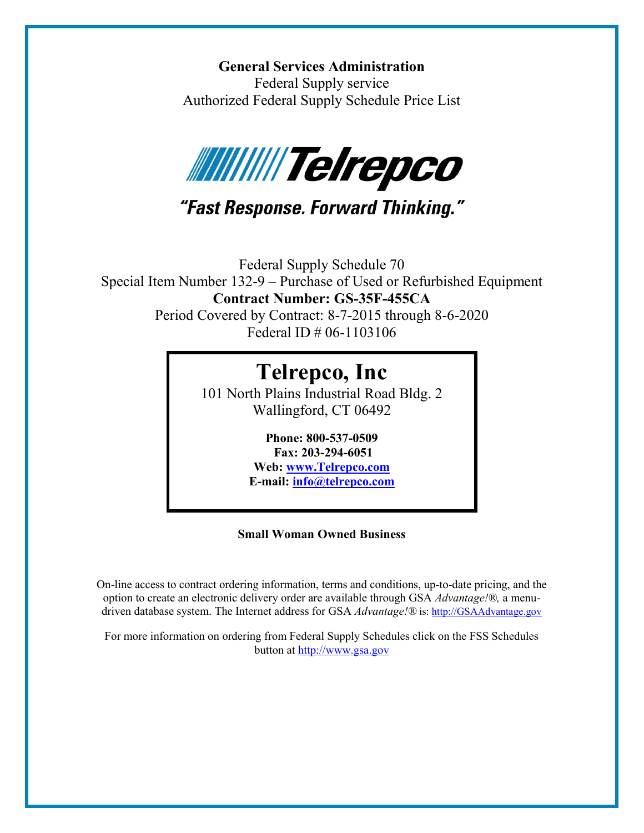**General Services Administration** Federal Supply service Authorized Federal Supply Schedule Price List



## "Fast Response. Forward Thinking."

Federal Supply Schedule 70 Special Item Number 132-9 – Purchase of Used or Refurbished Equipment **Contract Number: GS-35F-455CA**

Period Covered by Contract: 8-7-2015 through 8-6-2020 Federal ID # 06-1103106

# **Telrepco, Inc**

101 North Plains Industrial Road Bldg. 2 Wallingford, CT 06492

> **Phone: 800-537-0509 Fax: 203-294-6051 Web: [www.Telrepco.com](http://www.telrepco.com/)**

**E-mail: [info@telrepco.com](mailto:info@telrepco.com)**

## **Small Woman Owned Business**

On-line access to contract ordering information, terms and conditions, up-to-date pricing, and the option to create an electronic delivery order are available through GSA *Advantage!®,* a menudriven database system. The Internet address for GSA *Advantage!®* is[: http://GSAAdvantage.gov](http://gsaadvantage.gov/)

For more information on ordering from Federal Supply Schedules click on the FSS Schedules button at [http://www.gsa.gov](http://www.gsa.gov/)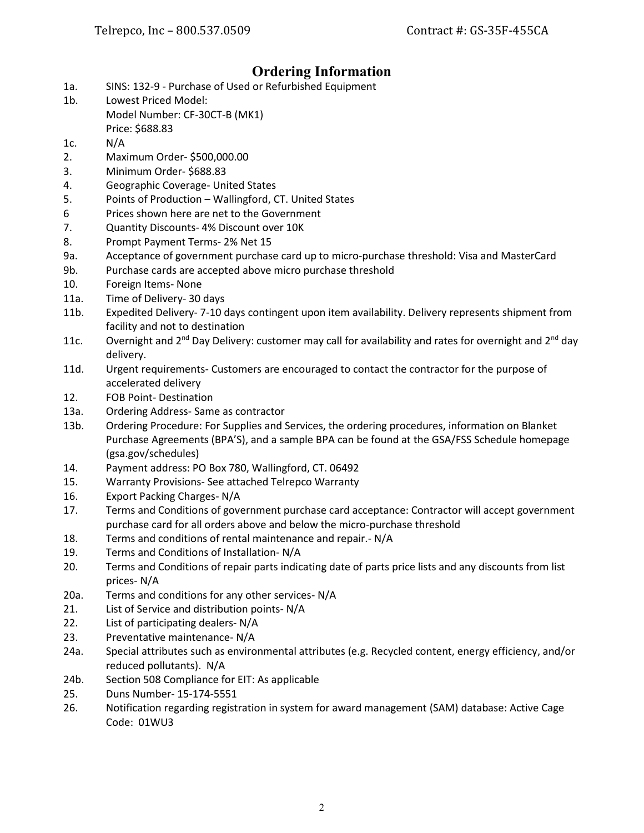## **Ordering Information**

- 1a. SINS: 132-9 Purchase of Used or Refurbished Equipment
- 1b. Lowest Priced Model:
	- Model Number: CF-30CT-B (MK1) Price: \$688.83
- 1c. N/A
- 2. Maximum Order- \$500,000.00
- 3. Minimum Order- \$688.83
- 4. Geographic Coverage- United States
- 5. Points of Production Wallingford, CT. United States
- 6 Prices shown here are net to the Government
- 7. Quantity Discounts- 4% Discount over 10K
- 8. Prompt Payment Terms- 2% Net 15
- 9a. Acceptance of government purchase card up to micro-purchase threshold: Visa and MasterCard
- 9b. Purchase cards are accepted above micro purchase threshold
- 10. Foreign Items- None
- 11a. Time of Delivery- 30 days
- 11b. Expedited Delivery- 7-10 days contingent upon item availability. Delivery represents shipment from facility and not to destination
- 11c. Overnight and  $2^{nd}$  Day Delivery: customer may call for availability and rates for overnight and  $2^{nd}$  day delivery.
- 11d. Urgent requirements- Customers are encouraged to contact the contractor for the purpose of accelerated delivery
- 12. FOB Point- Destination
- 13a. Ordering Address- Same as contractor
- 13b. Ordering Procedure: For Supplies and Services, the ordering procedures, information on Blanket Purchase Agreements (BPA'S), and a sample BPA can be found at the GSA/FSS Schedule homepage (gsa.gov/schedules)
- 14. Payment address: PO Box 780, Wallingford, CT. 06492
- 15. Warranty Provisions- See attached Telrepco Warranty
- 16. Export Packing Charges- N/A
- 17. Terms and Conditions of government purchase card acceptance: Contractor will accept government purchase card for all orders above and below the micro-purchase threshold
- 18. Terms and conditions of rental maintenance and repair.- N/A
- 19. Terms and Conditions of Installation- N/A
- 20. Terms and Conditions of repair parts indicating date of parts price lists and any discounts from list prices- N/A
- 20a. Terms and conditions for any other services- N/A
- 21. List of Service and distribution points- N/A
- 22. List of participating dealers- N/A
- 23. Preventative maintenance- N/A
- 24a. Special attributes such as environmental attributes (e.g. Recycled content, energy efficiency, and/or reduced pollutants). N/A
- 24b. Section 508 Compliance for EIT: As applicable
- 25. Duns Number- 15-174-5551
- 26. Notification regarding registration in system for award management (SAM) database: Active Cage Code: 01WU3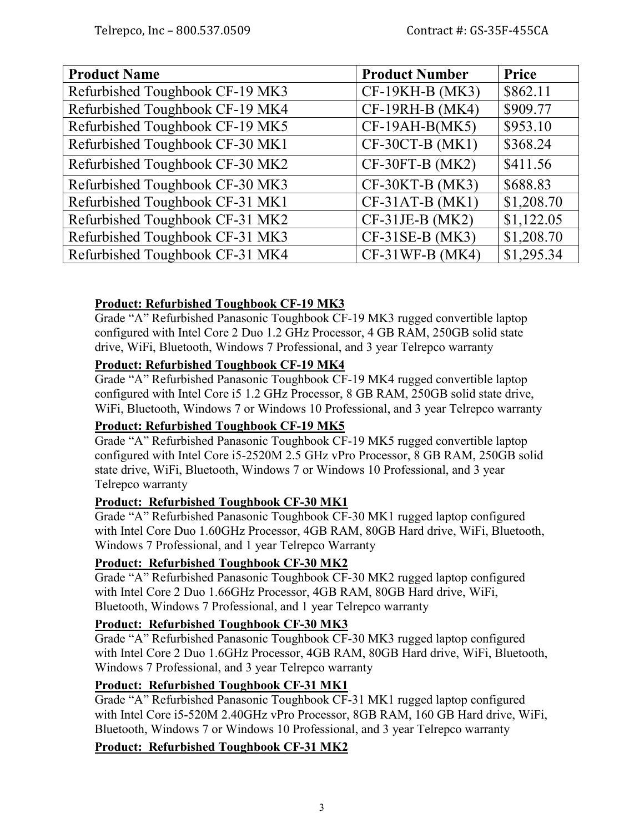| <b>Product Name</b>             | <b>Product Number</b> | Price      |
|---------------------------------|-----------------------|------------|
| Refurbished Toughbook CF-19 MK3 | $CF-19KH-B(MK3)$      | \$862.11   |
| Refurbished Toughbook CF-19 MK4 | CF-19RH-B (MK4)       | \$909.77   |
| Refurbished Toughbook CF-19 MK5 | $CF-19AH-B(MK5)$      | \$953.10   |
| Refurbished Toughbook CF-30 MK1 | CF-30CT-B (MK1)       | \$368.24   |
| Refurbished Toughbook CF-30 MK2 | $CF-30FT-B (MK2)$     | \$411.56   |
| Refurbished Toughbook CF-30 MK3 | CF-30KT-B (MK3)       | \$688.83   |
| Refurbished Toughbook CF-31 MK1 | $CF-31AT-B(MK1)$      | \$1,208.70 |
| Refurbished Toughbook CF-31 MK2 | $CF-31JE-B(MK2)$      | \$1,122.05 |
| Refurbished Toughbook CF-31 MK3 | $CF-31SE-B(MK3)$      | \$1,208.70 |
| Refurbished Toughbook CF-31 MK4 | $CF-31WF-B(MK4)$      | \$1,295.34 |

## **Product: Refurbished Toughbook CF-19 MK3**

Grade "A" Refurbished Panasonic Toughbook CF-19 MK3 rugged convertible laptop configured with Intel Core 2 Duo 1.2 GHz Processor, 4 GB RAM, 250GB solid state drive, WiFi, Bluetooth, Windows 7 Professional, and 3 year Telrepco warranty

## **Product: Refurbished Toughbook CF-19 MK4**

Grade "A" Refurbished Panasonic Toughbook CF-19 MK4 rugged convertible laptop configured with Intel Core i5 1.2 GHz Processor, 8 GB RAM, 250GB solid state drive, WiFi, Bluetooth, Windows 7 or Windows 10 Professional, and 3 year Telrepco warranty

## **Product: Refurbished Toughbook CF-19 MK5**

Grade "A" Refurbished Panasonic Toughbook CF-19 MK5 rugged convertible laptop configured with Intel Core i5-2520M 2.5 GHz vPro Processor, 8 GB RAM, 250GB solid state drive, WiFi, Bluetooth, Windows 7 or Windows 10 Professional, and 3 year Telrepco warranty

## **Product: Refurbished Toughbook CF-30 MK1**

Grade "A" Refurbished Panasonic Toughbook CF-30 MK1 rugged laptop configured with Intel Core Duo 1.60GHz Processor, 4GB RAM, 80GB Hard drive, WiFi, Bluetooth, Windows 7 Professional, and 1 year Telrepco Warranty

## **Product: Refurbished Toughbook CF-30 MK2**

Grade "A" Refurbished Panasonic Toughbook CF-30 MK2 rugged laptop configured with Intel Core 2 Duo 1.66GHz Processor, 4GB RAM, 80GB Hard drive, WiFi, Bluetooth, Windows 7 Professional, and 1 year Telrepco warranty

## **Product: Refurbished Toughbook CF-30 MK3**

Grade "A" Refurbished Panasonic Toughbook CF-30 MK3 rugged laptop configured with Intel Core 2 Duo 1.6GHz Processor, 4GB RAM, 80GB Hard drive, WiFi, Bluetooth, Windows 7 Professional, and 3 year Telrepco warranty

## **Product: Refurbished Toughbook CF-31 MK1**

Grade "A" Refurbished Panasonic Toughbook CF-31 MK1 rugged laptop configured with Intel Core i5-520M 2.40GHz vPro Processor, 8GB RAM, 160 GB Hard drive, WiFi, Bluetooth, Windows 7 or Windows 10 Professional, and 3 year Telrepco warranty

## **Product: Refurbished Toughbook CF-31 MK2**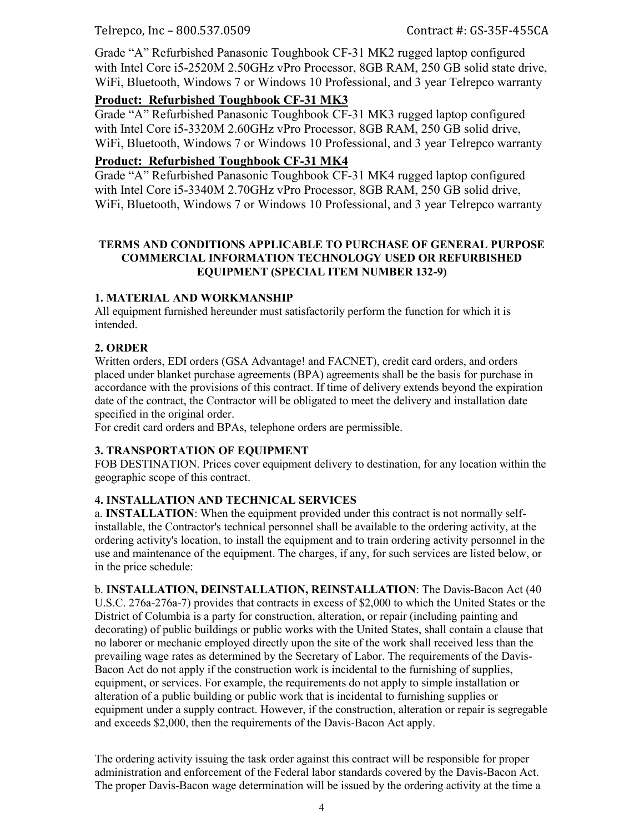Telrepco, Inc – 800.537.0509 Contract #: GS-35F-455CA

Grade "A" Refurbished Panasonic Toughbook CF-31 MK2 rugged laptop configured with Intel Core i5-2520M 2.50GHz vPro Processor, 8GB RAM, 250 GB solid state drive, WiFi, Bluetooth, Windows 7 or Windows 10 Professional, and 3 year Telrepco warranty

#### **Product: Refurbished Toughbook CF-31 MK3**

Grade "A" Refurbished Panasonic Toughbook CF-31 MK3 rugged laptop configured with Intel Core i5-3320M 2.60GHz vPro Processor, 8GB RAM, 250 GB solid drive, WiFi, Bluetooth, Windows 7 or Windows 10 Professional, and 3 year Telrepco warranty

#### **Product: Refurbished Toughbook CF-31 MK4**

Grade "A" Refurbished Panasonic Toughbook CF-31 MK4 rugged laptop configured with Intel Core i5-3340M 2.70GHz vPro Processor, 8GB RAM, 250 GB solid drive, WiFi, Bluetooth, Windows 7 or Windows 10 Professional, and 3 year Telrepco warranty

#### **TERMS AND CONDITIONS APPLICABLE TO PURCHASE OF GENERAL PURPOSE COMMERCIAL INFORMATION TECHNOLOGY USED OR REFURBISHED EQUIPMENT (SPECIAL ITEM NUMBER 132-9)**

#### **1. MATERIAL AND WORKMANSHIP**

All equipment furnished hereunder must satisfactorily perform the function for which it is intended.

## **2. ORDER**

Written orders, EDI orders (GSA Advantage! and FACNET), credit card orders, and orders placed under blanket purchase agreements (BPA) agreements shall be the basis for purchase in accordance with the provisions of this contract. If time of delivery extends beyond the expiration date of the contract, the Contractor will be obligated to meet the delivery and installation date specified in the original order.

For credit card orders and BPAs, telephone orders are permissible.

#### **3. TRANSPORTATION OF EQUIPMENT**

FOB DESTINATION. Prices cover equipment delivery to destination, for any location within the geographic scope of this contract.

## **4. INSTALLATION AND TECHNICAL SERVICES**

a. **INSTALLATION**: When the equipment provided under this contract is not normally selfinstallable, the Contractor's technical personnel shall be available to the ordering activity, at the ordering activity's location, to install the equipment and to train ordering activity personnel in the use and maintenance of the equipment. The charges, if any, for such services are listed below, or in the price schedule:

b. **INSTALLATION, DEINSTALLATION, REINSTALLATION**: The Davis-Bacon Act (40 U.S.C. 276a-276a-7) provides that contracts in excess of \$2,000 to which the United States or the District of Columbia is a party for construction, alteration, or repair (including painting and decorating) of public buildings or public works with the United States, shall contain a clause that no laborer or mechanic employed directly upon the site of the work shall received less than the prevailing wage rates as determined by the Secretary of Labor. The requirements of the Davis-Bacon Act do not apply if the construction work is incidental to the furnishing of supplies, equipment, or services. For example, the requirements do not apply to simple installation or alteration of a public building or public work that is incidental to furnishing supplies or equipment under a supply contract. However, if the construction, alteration or repair is segregable and exceeds \$2,000, then the requirements of the Davis-Bacon Act apply.

The ordering activity issuing the task order against this contract will be responsible for proper administration and enforcement of the Federal labor standards covered by the Davis-Bacon Act. The proper Davis-Bacon wage determination will be issued by the ordering activity at the time a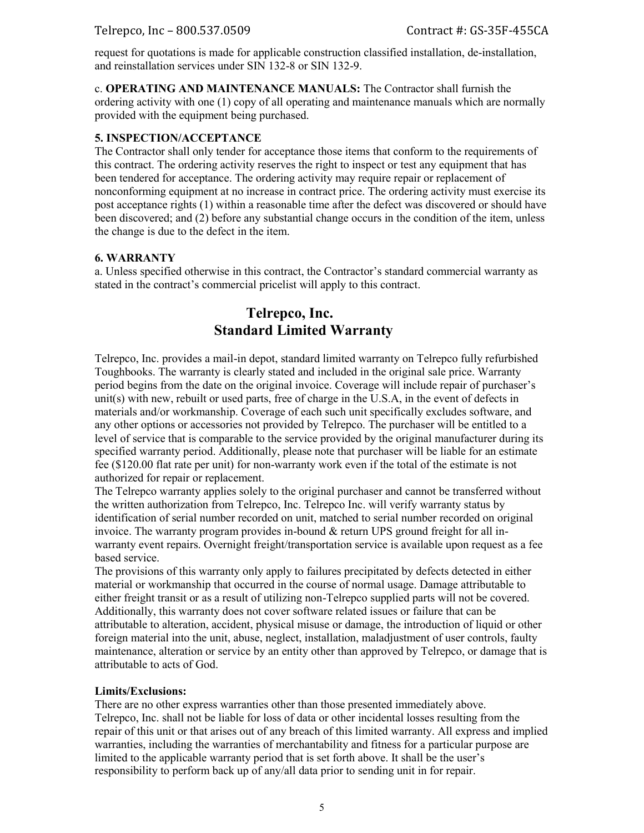request for quotations is made for applicable construction classified installation, de-installation, and reinstallation services under SIN 132-8 or SIN 132-9.

c. **OPERATING AND MAINTENANCE MANUALS:** The Contractor shall furnish the ordering activity with one (1) copy of all operating and maintenance manuals which are normally provided with the equipment being purchased.

#### **5. INSPECTION/ACCEPTANCE**

The Contractor shall only tender for acceptance those items that conform to the requirements of this contract. The ordering activity reserves the right to inspect or test any equipment that has been tendered for acceptance. The ordering activity may require repair or replacement of nonconforming equipment at no increase in contract price. The ordering activity must exercise its post acceptance rights (1) within a reasonable time after the defect was discovered or should have been discovered; and (2) before any substantial change occurs in the condition of the item, unless the change is due to the defect in the item.

#### **6. WARRANTY**

a. Unless specified otherwise in this contract, the Contractor's standard commercial warranty as stated in the contract's commercial pricelist will apply to this contract.

## **Telrepco, Inc.**  **Standard Limited Warranty**

Telrepco, Inc. provides a mail-in depot, standard limited warranty on Telrepco fully refurbished Toughbooks. The warranty is clearly stated and included in the original sale price. Warranty period begins from the date on the original invoice. Coverage will include repair of purchaser's unit(s) with new, rebuilt or used parts, free of charge in the U.S.A, in the event of defects in materials and/or workmanship. Coverage of each such unit specifically excludes software, and any other options or accessories not provided by Telrepco. The purchaser will be entitled to a level of service that is comparable to the service provided by the original manufacturer during its specified warranty period. Additionally, please note that purchaser will be liable for an estimate fee (\$120.00 flat rate per unit) for non-warranty work even if the total of the estimate is not authorized for repair or replacement.

The Telrepco warranty applies solely to the original purchaser and cannot be transferred without the written authorization from Telrepco, Inc. Telrepco Inc. will verify warranty status by identification of serial number recorded on unit, matched to serial number recorded on original invoice. The warranty program provides in-bound & return UPS ground freight for all inwarranty event repairs. Overnight freight/transportation service is available upon request as a fee based service.

The provisions of this warranty only apply to failures precipitated by defects detected in either material or workmanship that occurred in the course of normal usage. Damage attributable to either freight transit or as a result of utilizing non-Telrepco supplied parts will not be covered. Additionally, this warranty does not cover software related issues or failure that can be attributable to alteration, accident, physical misuse or damage, the introduction of liquid or other foreign material into the unit, abuse, neglect, installation, maladjustment of user controls, faulty maintenance, alteration or service by an entity other than approved by Telrepco, or damage that is attributable to acts of God.

#### **Limits/Exclusions:**

There are no other express warranties other than those presented immediately above. Telrepco, Inc. shall not be liable for loss of data or other incidental losses resulting from the repair of this unit or that arises out of any breach of this limited warranty. All express and implied warranties, including the warranties of merchantability and fitness for a particular purpose are limited to the applicable warranty period that is set forth above. It shall be the user's responsibility to perform back up of any/all data prior to sending unit in for repair.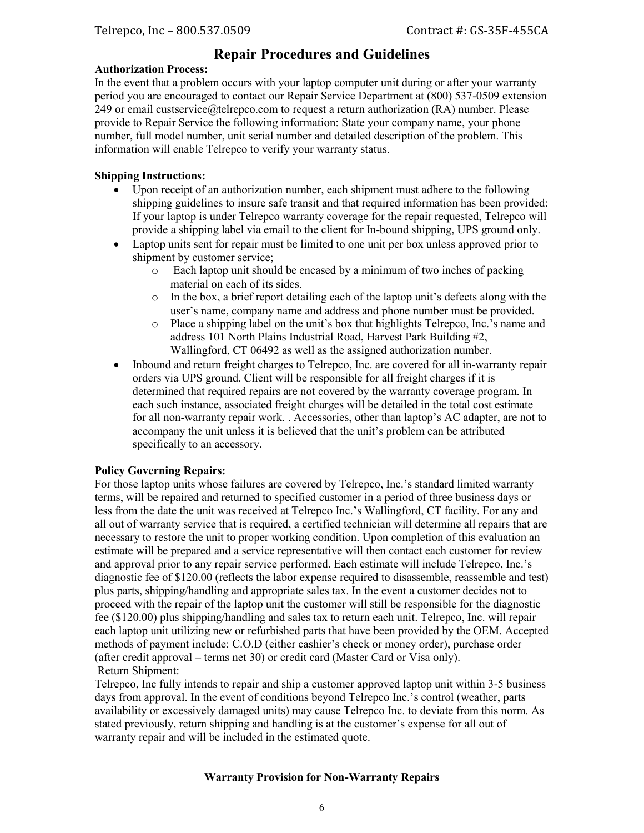## **Repair Procedures and Guidelines**

#### **Authorization Process:**

In the event that a problem occurs with your laptop computer unit during or after your warranty period you are encouraged to contact our Repair Service Department at (800) 537-0509 extension 249 or email custservice@telrepco.com to request a return authorization (RA) number. Please provide to Repair Service the following information: State your company name, your phone number, full model number, unit serial number and detailed description of the problem. This information will enable Telrepco to verify your warranty status.

#### **Shipping Instructions:**

- Upon receipt of an authorization number, each shipment must adhere to the following shipping guidelines to insure safe transit and that required information has been provided: If your laptop is under Telrepco warranty coverage for the repair requested, Telrepco will provide a shipping label via email to the client for In-bound shipping, UPS ground only.
- Laptop units sent for repair must be limited to one unit per box unless approved prior to shipment by customer service;
	- o Each laptop unit should be encased by a minimum of two inches of packing material on each of its sides.
	- $\circ$  In the box, a brief report detailing each of the laptop unit's defects along with the user's name, company name and address and phone number must be provided.
	- o Place a shipping label on the unit's box that highlights Telrepco, Inc.'s name and address 101 North Plains Industrial Road, Harvest Park Building #2, Wallingford, CT 06492 as well as the assigned authorization number.
- Inbound and return freight charges to Telrepco, Inc. are covered for all in-warranty repair orders via UPS ground. Client will be responsible for all freight charges if it is determined that required repairs are not covered by the warranty coverage program. In each such instance, associated freight charges will be detailed in the total cost estimate for all non-warranty repair work. . Accessories, other than laptop's AC adapter, are not to accompany the unit unless it is believed that the unit's problem can be attributed specifically to an accessory.

#### **Policy Governing Repairs:**

For those laptop units whose failures are covered by Telrepco, Inc.'s standard limited warranty terms, will be repaired and returned to specified customer in a period of three business days or less from the date the unit was received at Telrepco Inc.'s Wallingford, CT facility. For any and all out of warranty service that is required, a certified technician will determine all repairs that are necessary to restore the unit to proper working condition. Upon completion of this evaluation an estimate will be prepared and a service representative will then contact each customer for review and approval prior to any repair service performed. Each estimate will include Telrepco, Inc.'s diagnostic fee of \$120.00 (reflects the labor expense required to disassemble, reassemble and test) plus parts, shipping/handling and appropriate sales tax. In the event a customer decides not to proceed with the repair of the laptop unit the customer will still be responsible for the diagnostic fee (\$120.00) plus shipping/handling and sales tax to return each unit. Telrepco, Inc. will repair each laptop unit utilizing new or refurbished parts that have been provided by the OEM. Accepted methods of payment include: C.O.D (either cashier's check or money order), purchase order (after credit approval – terms net 30) or credit card (Master Card or Visa only). Return Shipment:

Telrepco, Inc fully intends to repair and ship a customer approved laptop unit within 3-5 business days from approval. In the event of conditions beyond Telrepco Inc.'s control (weather, parts availability or excessively damaged units) may cause Telrepco Inc. to deviate from this norm. As stated previously, return shipping and handling is at the customer's expense for all out of warranty repair and will be included in the estimated quote.

#### **Warranty Provision for Non-Warranty Repairs**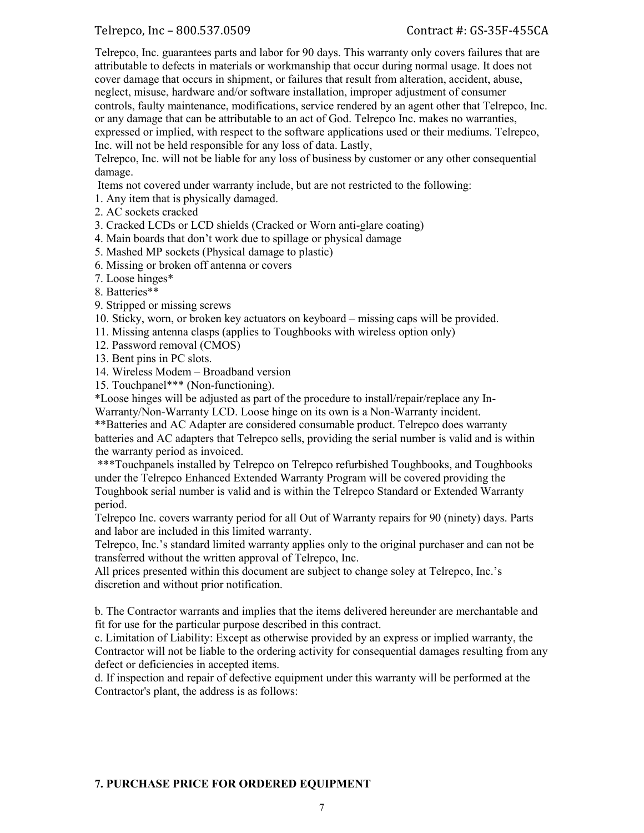Telrepco, Inc – 800.537.0509 Contract #: GS-35F-455CA

Telrepco, Inc. guarantees parts and labor for 90 days. This warranty only covers failures that are attributable to defects in materials or workmanship that occur during normal usage. It does not cover damage that occurs in shipment, or failures that result from alteration, accident, abuse, neglect, misuse, hardware and/or software installation, improper adjustment of consumer controls, faulty maintenance, modifications, service rendered by an agent other that Telrepco, Inc. or any damage that can be attributable to an act of God. Telrepco Inc. makes no warranties, expressed or implied, with respect to the software applications used or their mediums. Telrepco, Inc. will not be held responsible for any loss of data. Lastly,

Telrepco, Inc. will not be liable for any loss of business by customer or any other consequential damage.

Items not covered under warranty include, but are not restricted to the following:

1. Any item that is physically damaged.

- 2. AC sockets cracked
- 3. Cracked LCDs or LCD shields (Cracked or Worn anti-glare coating)
- 4. Main boards that don't work due to spillage or physical damage
- 5. Mashed MP sockets (Physical damage to plastic)
- 6. Missing or broken off antenna or covers
- 7. Loose hinges\*

8. Batteries\*\*

- 9. Stripped or missing screws
- 10. Sticky, worn, or broken key actuators on keyboard missing caps will be provided.
- 11. Missing antenna clasps (applies to Toughbooks with wireless option only)
- 12. Password removal (CMOS)
- 13. Bent pins in PC slots.
- 14. Wireless Modem Broadband version
- 15. Touchpanel\*\*\* (Non-functioning).

\*Loose hinges will be adjusted as part of the procedure to install/repair/replace any In-Warranty/Non-Warranty LCD. Loose hinge on its own is a Non-Warranty incident.

\*\*Batteries and AC Adapter are considered consumable product. Telrepco does warranty batteries and AC adapters that Telrepco sells, providing the serial number is valid and is within the warranty period as invoiced.

\*\*\*Touchpanels installed by Telrepco on Telrepco refurbished Toughbooks, and Toughbooks under the Telrepco Enhanced Extended Warranty Program will be covered providing the Toughbook serial number is valid and is within the Telrepco Standard or Extended Warranty period.

Telrepco Inc. covers warranty period for all Out of Warranty repairs for 90 (ninety) days. Parts and labor are included in this limited warranty.

Telrepco, Inc.'s standard limited warranty applies only to the original purchaser and can not be transferred without the written approval of Telrepco, Inc.

All prices presented within this document are subject to change soley at Telrepco, Inc.'s discretion and without prior notification.

b. The Contractor warrants and implies that the items delivered hereunder are merchantable and fit for use for the particular purpose described in this contract.

c. Limitation of Liability: Except as otherwise provided by an express or implied warranty, the Contractor will not be liable to the ordering activity for consequential damages resulting from any defect or deficiencies in accepted items.

d. If inspection and repair of defective equipment under this warranty will be performed at the Contractor's plant, the address is as follows:

#### **7. PURCHASE PRICE FOR ORDERED EQUIPMENT**